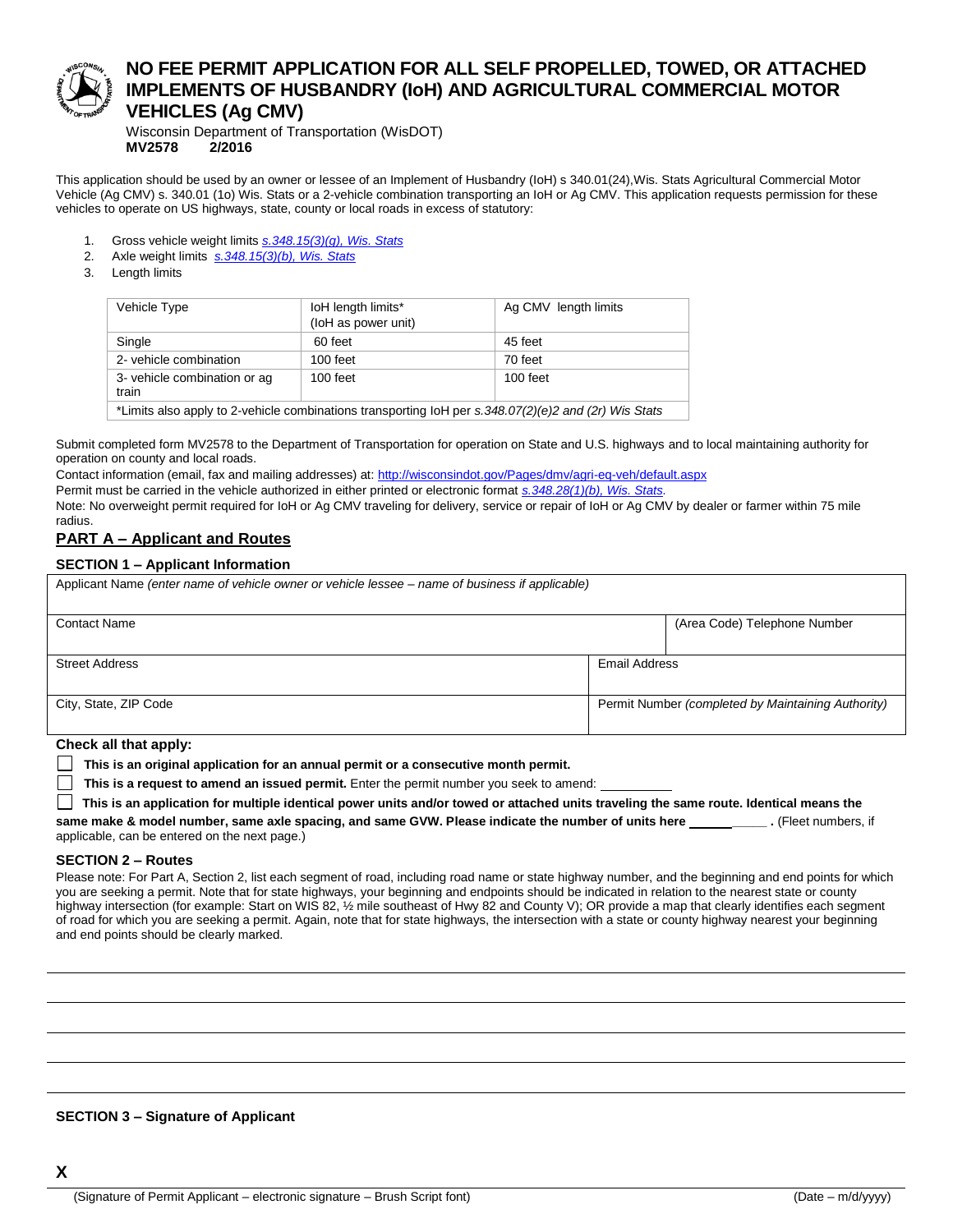

# **NO FEE PERMIT APPLICATION FOR ALL SELF PROPELLED, TOWED, OR ATTACHED IMPLEMENTS OF HUSBANDRY (IoH) AND AGRICULTURAL COMMERCIAL MOTOR VEHICLES (Ag CMV)**

Wisconsin Department of Transportation (WisDOT) **MV2578 2/2016**

This application should be used by an owner or lessee of an Implement of Husbandry (IoH) s 340.01(24),Wis. Stats Agricultural Commercial Motor Vehicle (Ag CMV) s. 340.01 (1o) Wis. Stats or a 2-vehicle combination transporting an IoH or Ag CMV. This application requests permission for these vehicles to operate on US highways, state, county or local roads in excess of statutory:

- 1. Gross vehicle weight limits *[s.348.15\(3\)\(g\), Wis. Stats](http://docs.legis.wi.gov/statutes/statutes/348/III/15)*
- 2. Axle weight limits *[s.348.15\(3\)\(b\), Wis. Stats](http://docs.legis.wi.gov/statutes/statutes/348/III/15)*
- 3. Length limits

| Vehicle Type                                                                                         | loH length limits*<br>(loH as power unit) | Ag CMV length limits |  |  |  |  |  |  |
|------------------------------------------------------------------------------------------------------|-------------------------------------------|----------------------|--|--|--|--|--|--|
| Single                                                                                               | 60 feet                                   | 45 feet              |  |  |  |  |  |  |
| 2- vehicle combination                                                                               | $100$ feet                                | 70 feet              |  |  |  |  |  |  |
| 3- vehicle combination or ag<br>train                                                                | $100$ feet<br>$100$ feet                  |                      |  |  |  |  |  |  |
| *Limits also apply to 2-vehicle combinations transporting loH per s.348.07(2)(e)2 and (2r) Wis Stats |                                           |                      |  |  |  |  |  |  |

Submit completed form MV2578 to the Department of Transportation for operation on State and U.S. highways and to local maintaining authority for operation on county and local roads.

Contact information (email, fax and mailing addresses) at:<http://wisconsindot.gov/Pages/dmv/agri-eq-veh/default.aspx> Permit must be carried in the vehicle authorized in either printed or electronic format *[s.348.28\(1\)\(b\), Wis. Stats.](http://docs.legis.wi.gov/statutes/statutes/348/IV/28)* Note: No overweight permit required for IoH or Ag CMV traveling for delivery, service or repair of IoH or Ag CMV by dealer or farmer within 75 mile radius.

## **PART A – Applicant and Routes**

### **SECTION 1 – Applicant Information**

| Applicant Name (enter name of vehicle owner or vehicle lessee – name of business if applicable) |                      |                                                    |  |  |  |  |  |
|-------------------------------------------------------------------------------------------------|----------------------|----------------------------------------------------|--|--|--|--|--|
| <b>Contact Name</b>                                                                             |                      | (Area Code) Telephone Number                       |  |  |  |  |  |
| <b>Street Address</b>                                                                           | <b>Email Address</b> |                                                    |  |  |  |  |  |
| City, State, ZIP Code                                                                           |                      | Permit Number (completed by Maintaining Authority) |  |  |  |  |  |

**Check all that apply:**

**This is an original application for an annual permit or a consecutive month permit.**

**This is a request to amend an issued permit.** Enter the permit number you seek to amend:

**This is an application for multiple identical power units and/or towed or attached units traveling the same route. Identical means the** 

**same make & model number, same axle spacing, and same GVW. Please indicate the number of units here \_\_\_\_\_ .** (Fleet numbers, if applicable, can be entered on the next page.)

### **SECTION 2 – Routes**

Please note: For Part A, Section 2, list each segment of road, including road name or state highway number, and the beginning and end points for which you are seeking a permit. Note that for state highways, your beginning and endpoints should be indicated in relation to the nearest state or county highway intersection (for example: Start on WIS 82, 1/2 mile southeast of Hwy 82 and County V); OR provide a map that clearly identifies each segment of road for which you are seeking a permit. Again, note that for state highways, the intersection with a state or county highway nearest your beginning and end points should be clearly marked.

### **SECTION 3 – Signature of Applicant**